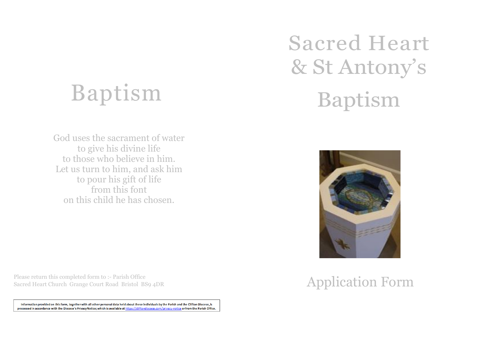## Baptism

God uses the sacrament of water to give his divine life to those who believe in him. Let us turn to him, and ask him to pour his gift of life from this font on this child he has chosen.

Please return this completed form to :- Parish Office Sacred Heart Church Grange Court Road Bristol BS9 4DR

Information provided on this form, together with all other personal data held about these individuals by the Parish and the Clifton Diocese, is processed in accordance with the Diocese's Privacy Notice; which is available at https://cliftondiocese.com/privacy-notice or from the Parish Office.

# Sacred Heart & St Antony's Baptism



## Application Form